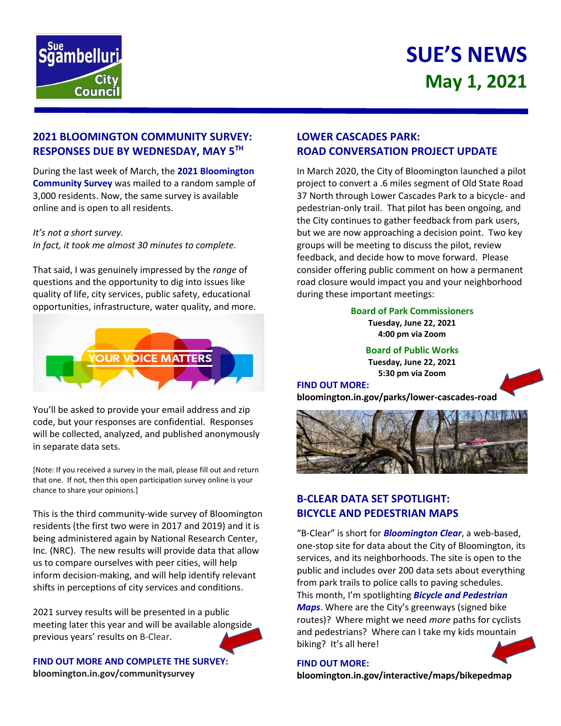

# **SUE'S NEWS May 1, 2021**

## **2021 BLOOMINGTON COMMUNITY SURVEY: RESPONSES DUE BY WEDNESDAY, MAY 5TH**

During the last week of March, the **2021 Bloomington Community Survey** was mailed to a random sample of 3,000 residents. Now, the same survey is available online and is open to all residents.

#### *It's not a short survey.*

*In fact, it took me almost 30 minutes to complete.*

That said, I was genuinely impressed by the *range* of questions and the opportunity to dig into issues like quality of life, city services, public safety, educational opportunities, infrastructure, water quality, and more.



You'll be asked to provide your email address and zip code, but your responses are confidential. Responses will be collected, analyzed, and published anonymously in separate data sets.

[Note: If you received a survey in the mail, please fill out and return that one. If not, then this open participation survey online is your chance to share your opinions.]

This is the third community-wide survey of Bloomington residents (the first two were in 2017 and 2019) and it is being administered again by National Research Center, Inc. (NRC). The new results will provide data that allow us to compare ourselves with peer cities, will help inform decision-making, and will help identify relevant shifts in perceptions of city services and conditions.

2021 survey results will be presented in a public meeting later this year and will be available alongside previous years' results on B-Clear.

**FIND OUT MORE AND COMPLETE THE SURVEY: bloomington.in.gov/communitysurvey**

# **LOWER CASCADES PARK: ROAD CONVERSATION PROJECT UPDATE**

In March 2020, the City of Bloomington launched a pilot project to convert a .6 miles segment of Old State Road 37 North through Lower Cascades Park to a bicycle- and pedestrian-only trail. That pilot has been ongoing, and the City continues to gather feedback from park users, but we are now approaching a decision point. Two key groups will be meeting to discuss the pilot, review feedback, and decide how to move forward. Please consider offering public comment on how a permanent road closure would impact you and your neighborhood during these important meetings:

> **Board of Park Commissioners Tuesday, June 22, 2021 4:00 pm via Zoom**

> > **Board of Public Works Tuesday, June 22, 2021 5:30 pm via Zoom**

#### **FIND OUT MORE:**

**bloomington.in.gov/parks/lower-cascades-road**



# **B-CLEAR DATA SET SPOTLIGHT: BICYCLE AND PEDESTRIAN MAPS**

"B-Clear" is short for *Bloomington Clear*, a web-based, one-stop site for data about the City of Bloomington, its services, and its neighborhoods. The site is open to the public and includes over 200 data sets about everything from park trails to police calls to paving schedules. This month, I'm spotlighting *Bicycle and Pedestrian Maps*. Where are the City's greenways (signed bike routes)? Where might we need *more* paths for cyclists and pedestrians? Where can I take my kids mountain biking? It's all here!



**FIND OUT MORE: bloomington.in.gov/interactive/maps/bikepedmap**